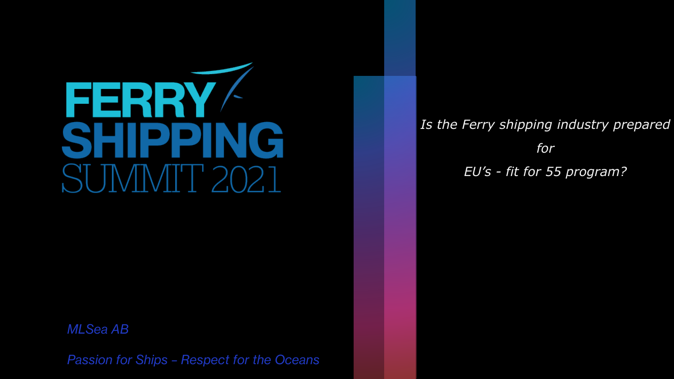

*MLSea AB*

*Passion for Ships – Respect for the Oceans* 

*Is the Ferry shipping industry prepared for EU's - fit for 55 program?*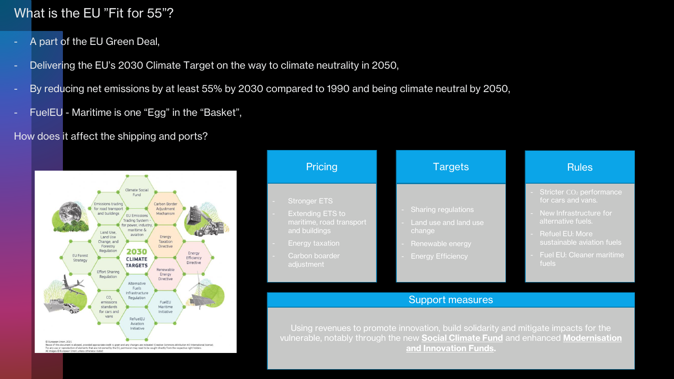#### What is the EU "Fit for 55"?

- A part of the EU Green Deal,
- Delivering the EU's 2030 Climate Target on the way to climate neutrality in 2050,
- By reducing net emissions by at least 55% by 2030 compared to 1990 and being climate neutral by 2050,
- FuelEU Maritime is one "Egg" in the "Basket",

How does it affect the shipping and ports?



| Pricing                                                                                                                                               | <b>Targets</b>                                                                                                | <b>Rules</b>                                                                                                                                                                                             |  |
|-------------------------------------------------------------------------------------------------------------------------------------------------------|---------------------------------------------------------------------------------------------------------------|----------------------------------------------------------------------------------------------------------------------------------------------------------------------------------------------------------|--|
| <b>Stronger ETS</b><br><b>Extending ETS to</b><br>maritime, road transport<br>and buildings<br><b>Energy taxation</b><br>Carbon boarder<br>adjustment | <b>Sharing regulations</b><br>Land use and land use<br>change<br>Renewable energy<br><b>Energy Efficiency</b> | Stricter CO <sub>2</sub> performance<br>for cars and vans.<br>New Infrastructure for<br>alternative fuels.<br><b>Refuel EU: More</b><br>sustainable aviation fuels<br>Fuel EU: Cleaner maritime<br>fuels |  |

#### Support measures

Using revenues to promote innovation, build solidarity and mitigate impacts for the vulnerable, notably through the new **Social Climate Fund** and enhanced **Modernisation and Innovation Funds.**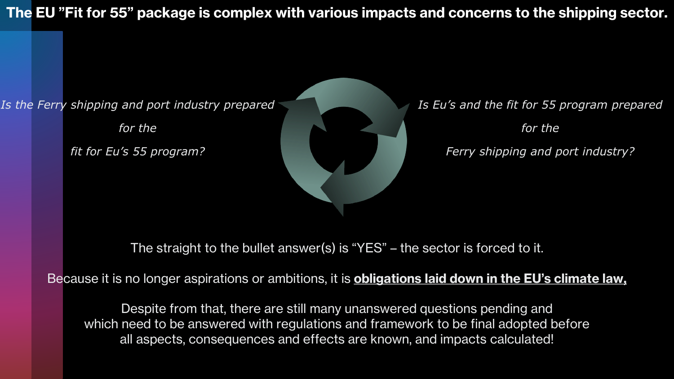**The EU "Fit for 55" package is complex with various impacts and concerns to the shipping sector.**

*Is the Ferry shipping and port industry prepared*

*for the* 

*fit for Eu's 55 program?*



*Is Eu's and the fit for 55 program prepared for the Ferry shipping and port industry?*

The straight to the bullet answer(s) is "YES" – the sector is forced to it.

Because it is no longer aspirations or ambitions, it is **obligations laid down in the EU's climate law,**

Despite from that, there are still many unanswered questions pending and which need to be answered with regulations and framework to be final adopted before all aspects, consequences and effects are known, and impacts calculated!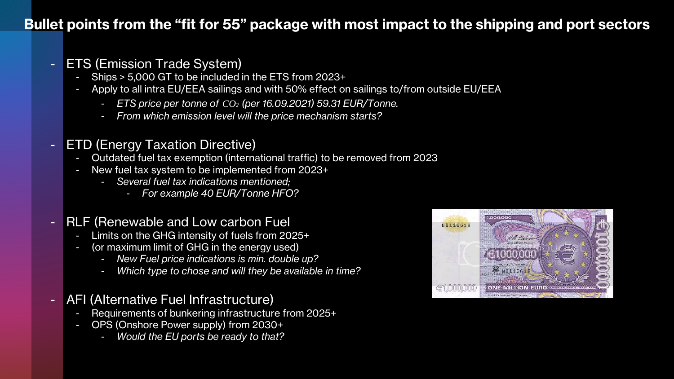### **Bullet points from the "fit for 55" package with most impact to the shipping and port sectors**

#### - ETS (Emission Trade System)

- Ships > 5,000 GT to be included in the ETS from 2023+
- Apply to all intra EU/EEA sailings and with 50% effect on sailings to/from outside EU/EEA
	- *ETS price per tonne of CO2 (per 16.09.2021) 59.31 EUR/Tonne.*
	- *From which emission level will the price mechanism starts?*

#### - ETD (Energy Taxation Directive)

- Outdated fuel tax exemption (international traffic) to be removed from 2023
- New fuel tax system to be implemented from 2023+
	- *Several fuel tax indications mentioned;*
		- *For example 40 EUR/Tonne HFO?*

#### - RLF (Renewable and Low carbon Fuel

- Limits on the GHG intensity of fuels from 2025+
- (or maximum limit of GHG in the energy used)
	- *New Fuel price indications is min. double up?*
	- *Which type to chose and will they be available in time?*

#### - AFI (Alternative Fuel Infrastructure)

- Requirements of bunkering infrastructure from 2025+
- OPS (Onshore Power supply) from 2030+
	- *Would the EU ports be ready to that?*

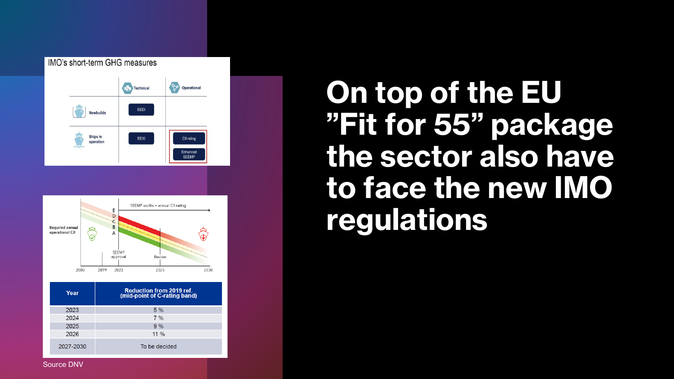



| Year      | <b>Reduction from 2019 ref.</b><br>(mid-point of C-rating band) |  |  |  |
|-----------|-----------------------------------------------------------------|--|--|--|
| 2023      | $5\%$                                                           |  |  |  |
| 2024      | $7\%$                                                           |  |  |  |
| 2025      | $9\%$                                                           |  |  |  |
| 2026      | $11\%$                                                          |  |  |  |
| 2027-2030 | To be decided                                                   |  |  |  |

# **On top of the EU "Fit for 55" package the sector also have to face the new IMO regulations**

Source DNV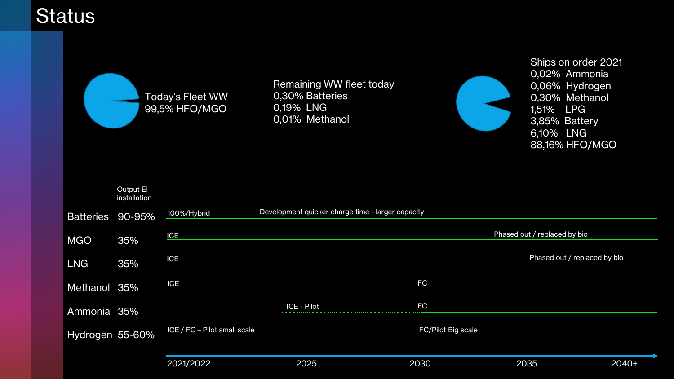## **Status**



Remaining WW fleet today 0,30% Batteries 0,19% LNG 0,01% Methanol



Ships on order 2021 0,02% Ammonia 0,06% Hydrogen 0,30% Methanol 1,51% LPG 3,85% Battery 6,10% LNG 88,16% HFO/MGO

|                  | Output El<br>installation |                              |                                                   |                    |                              |         |
|------------------|---------------------------|------------------------------|---------------------------------------------------|--------------------|------------------------------|---------|
| <b>Batteries</b> | 90-95%                    | 100%/Hybrid                  | Development quicker charge time - larger capacity |                    |                              |         |
| <b>MGO</b>       | 35%                       | <b>ICE</b>                   |                                                   |                    | Phased out / replaced by bio |         |
| <b>LNG</b>       | 35%                       | <b>ICE</b>                   |                                                   |                    | Phased out / replaced by bio |         |
| Methanol 35%     |                           | <b>ICE</b>                   |                                                   | <b>FC</b>          |                              |         |
| Ammonia 35%      |                           |                              | <b>ICE - Pilot</b>                                | <b>FC</b>          |                              |         |
| Hydrogen 55-60%  |                           | ICE / FC - Pilot small scale |                                                   | FC/Pilot Big scale |                              |         |
|                  |                           | 2021/2022                    | 2025                                              | 2030               | 2035                         | $2040+$ |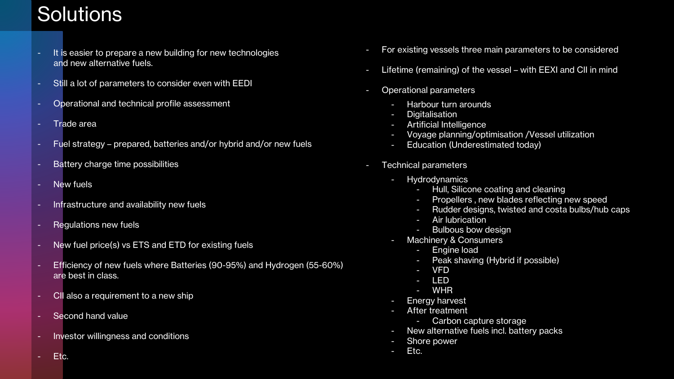## **Solutions**

- It is easier to prepare a new building for new technologies and new alternative fuels.
- Still a lot of parameters to consider even with EEDI
- Operational and technical profile assessment
- Trade area
- Fuel strategy prepared, batteries and/or hybrid and/or new fuels
- Battery charge time possibilities
- New fuels
- Infrastructure and availability new fuels
- Regulations new fuels
- New fuel price(s) vs ETS and ETD for existing fuels
- Efficiency of new fuels where Batteries (90-95%) and Hydrogen (55-60%) are best in class.
- CII also a requirement to a new ship
- Second hand value
- Investor willingness and conditions
- For existing vessels three main parameters to be considered
- Lifetime (remaining) of the vessel with EEXI and CII in mind
- Operational parameters
	- Harbour turn arounds
	- Digitalisation
	- Artificial Intelligence
	- Voyage planning/optimisation /Vessel utilization
	- Education (Underestimated today)
- Technical parameters
	- Hydrodynamics
		- Hull, Silicone coating and cleaning
		- Propellers, new blades reflecting new speed
		- Rudder designs, twisted and costa bulbs/hub caps
		- Air lubrication
		- Bulbous bow design
	- Machinery & Consumers
		- Engine load
		- Peak shaving (Hybrid if possible)
		- VFD
		- LED
		- WHR
	- Energy harvest
	- After treatment
		- Carbon capture storage
	- New alternative fuels incl. battery packs
	- Shore power
	- Etc.

Etc.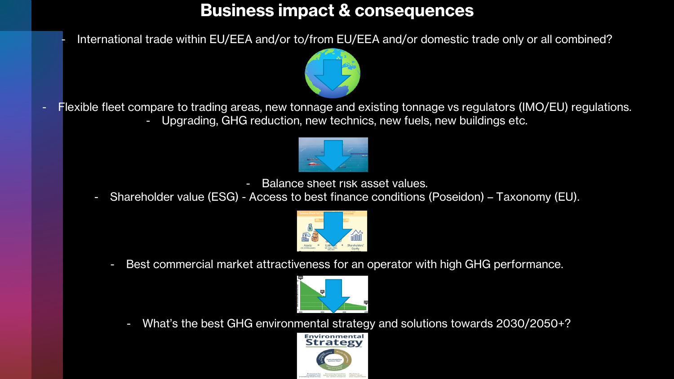## **Business impact & consequences**

- International trade within EU/EEA and/or to/from EU/EEA and/or domestic trade only or all combined?



Flexible fleet compare to trading areas, new tonnage and existing tonnage vs regulators (IMO/EU) regulations. - Upgrading, GHG reduction, new technics, new fuels, new buildings etc.



- Balance sheet risk asset values.
- Shareholder value (ESG) Access to best finance conditions (Poseidon) Taxonomy (EU).



- Best commercial market attractiveness for an operator with high GHG performance.



What's the best GHG environmental strategy and solutions towards 2030/2050+?